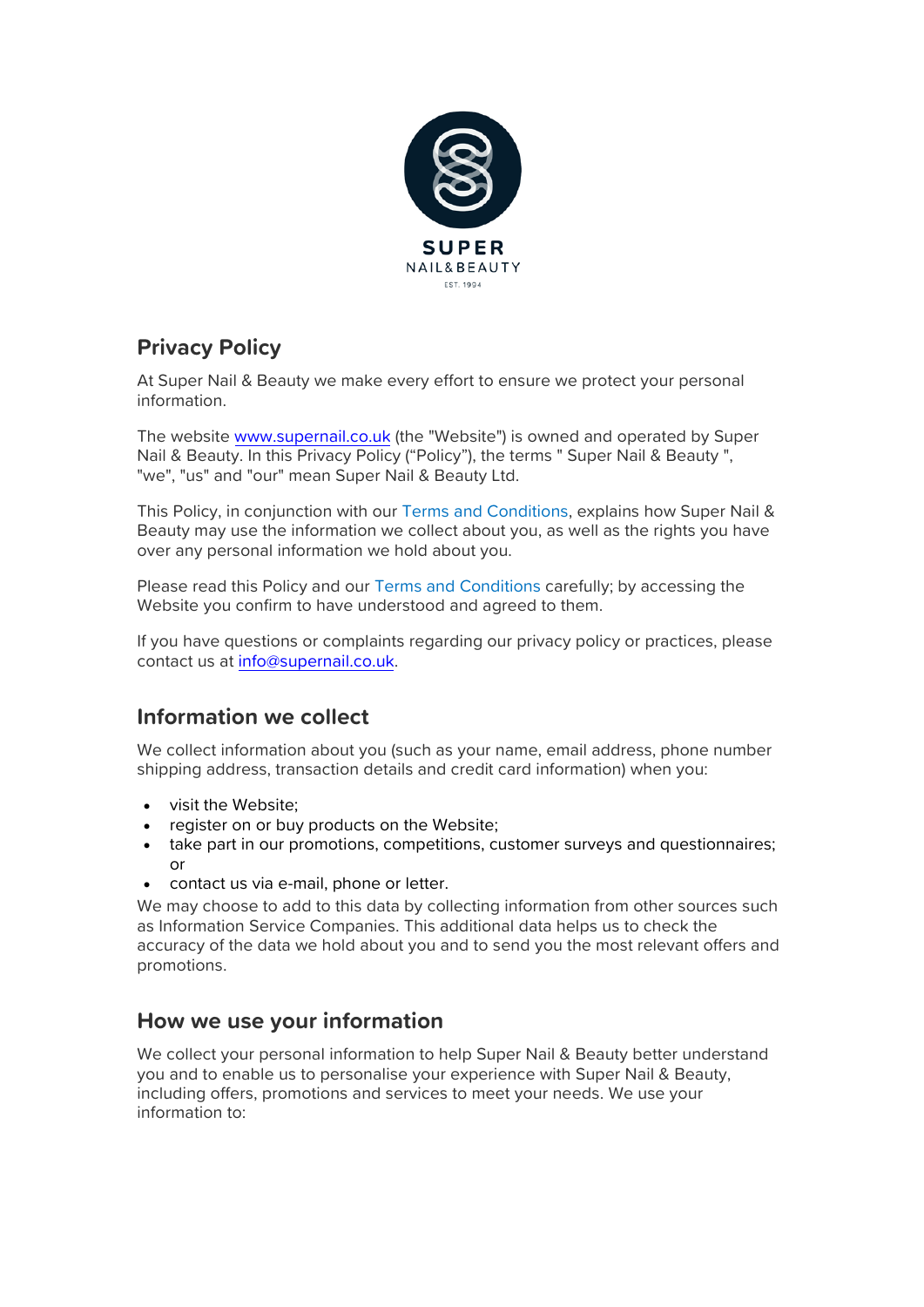

# **Privacy Policy**

At Super Nail & Beauty we make every effort to ensure we protect your personal information.

The website [www.supernail.co.uk](http://www.supernail.co.uk/) (the "Website") is owned and operated by Super Nail & Beauty. In this Privacy Policy ("Policy"), the terms " Super Nail & Beauty ", "we", "us" and "our" mean Super Nail & Beauty Ltd.

This Policy, in conjunction with our [Terms and Conditions,](https://www.supernail.co.uk/assets/documents/supernail/TermsandConditions.pdf) explains how Super Nail & Beauty may use the information we collect about you, as well as the rights you have over any personal information we hold about you.

Please read this Policy and our [Terms and Conditions](https://www.supernail.co.uk/assets/documents/supernail/TermsandConditions.pdf) carefully; by accessing the Website you confirm to have understood and agreed to them.

If you have questions or complaints regarding our privacy policy or practices, please contact us at [info@supernail.co.uk.](mailto:info@supernail.co.uk)

#### **Information we collect**

We collect information about you (such as your name, email address, phone number shipping address, transaction details and credit card information) when you:

- visit the Website;
- register on or buy products on the Website;
- take part in our promotions, competitions, customer surveys and questionnaires; or
- contact us via e-mail, phone or letter.

We may choose to add to this data by collecting information from other sources such as Information Service Companies. This additional data helps us to check the accuracy of the data we hold about you and to send you the most relevant offers and promotions.

#### **How we use your information**

We collect your personal information to help Super Nail & Beauty better understand you and to enable us to personalise your experience with Super Nail & Beauty, including offers, promotions and services to meet your needs. We use your information to: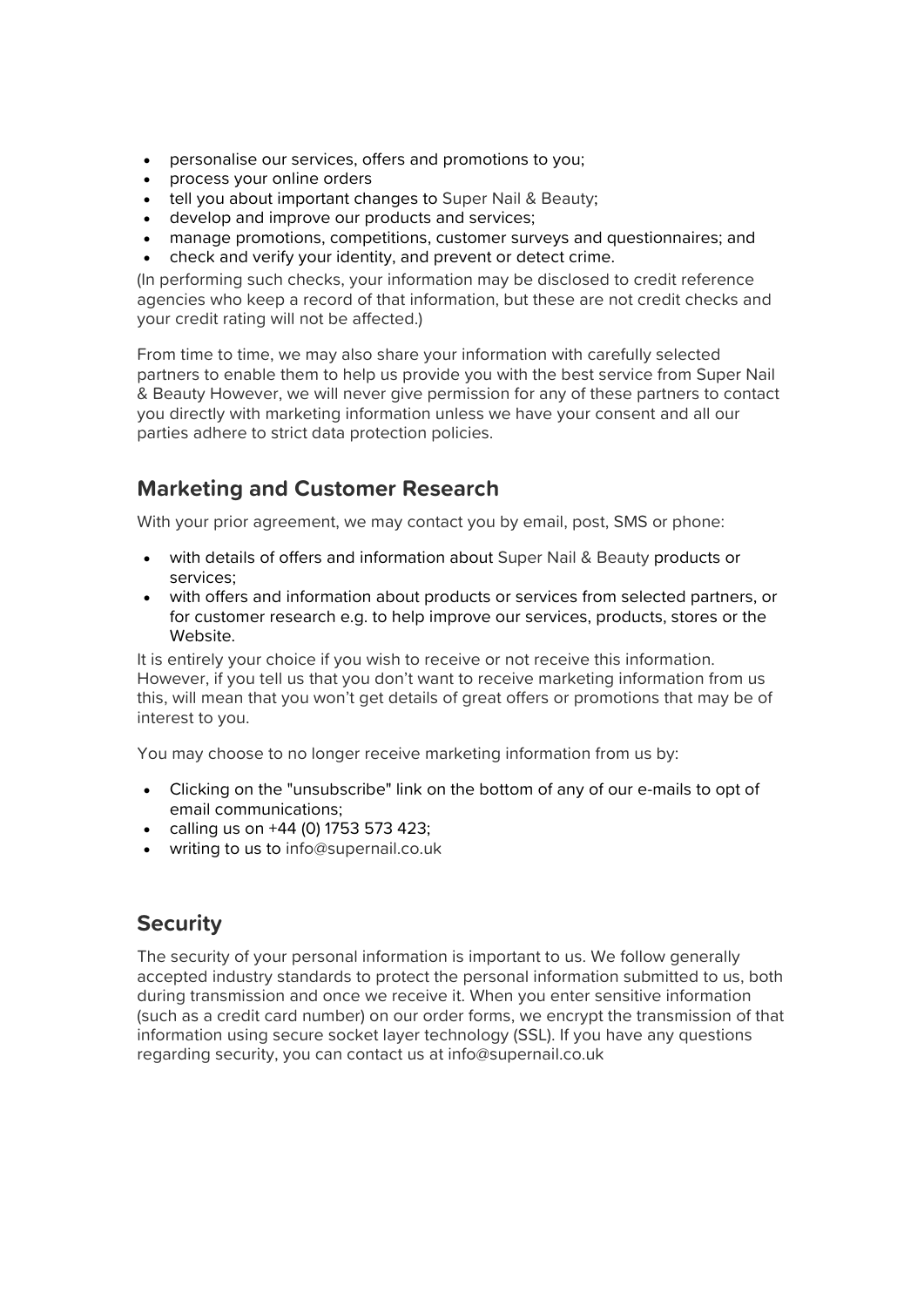- personalise our services, offers and promotions to you;
- process your online orders
- $\bullet$  tell you about important changes to Super Nail & Beauty;
- develop and improve our products and services;
- manage promotions, competitions, customer surveys and questionnaires; and
- check and verify your identity, and prevent or detect crime.

(In performing such checks, your information may be disclosed to credit reference agencies who keep a record of that information, but these are not credit checks and your credit rating will not be affected.)

From time to time, we may also share your information with carefully selected partners to enable them to help us provide you with the best service from Super Nail & Beauty However, we will never give permission for any of these partners to contact you directly with marketing information unless we have your consent and all our parties adhere to strict data protection policies.

### **Marketing and Customer Research**

With your prior agreement, we may contact you by email, post, SMS or phone:

- with details of offers and information about Super Nail & Beauty products or services;
- with offers and information about products or services from selected partners, or for customer research e.g. to help improve our services, products, stores or the Website.

It is entirely your choice if you wish to receive or not receive this information. However, if you tell us that you don't want to receive marketing information from us this, will mean that you won't get details of great offers or promotions that may be of interest to you.

You may choose to no longer receive marketing information from us by:

- Clicking on the "unsubscribe" link on the bottom of any of our e-mails to opt of email communications;
- $\bullet$  calling us on +44 (0) 1753 573 423;
- $\bullet$  writing to us to info@supernail.co.uk

### **Security**

The security of your personal information is important to us. We follow generally accepted industry standards to protect the personal information submitted to us, both during transmission and once we receive it. When you enter sensitive information (such as a credit card number) on our order forms, we encrypt the transmission of that information using secure socket layer technology (SSL). If you have any questions regarding security, you can contact us at info@supernail.co.uk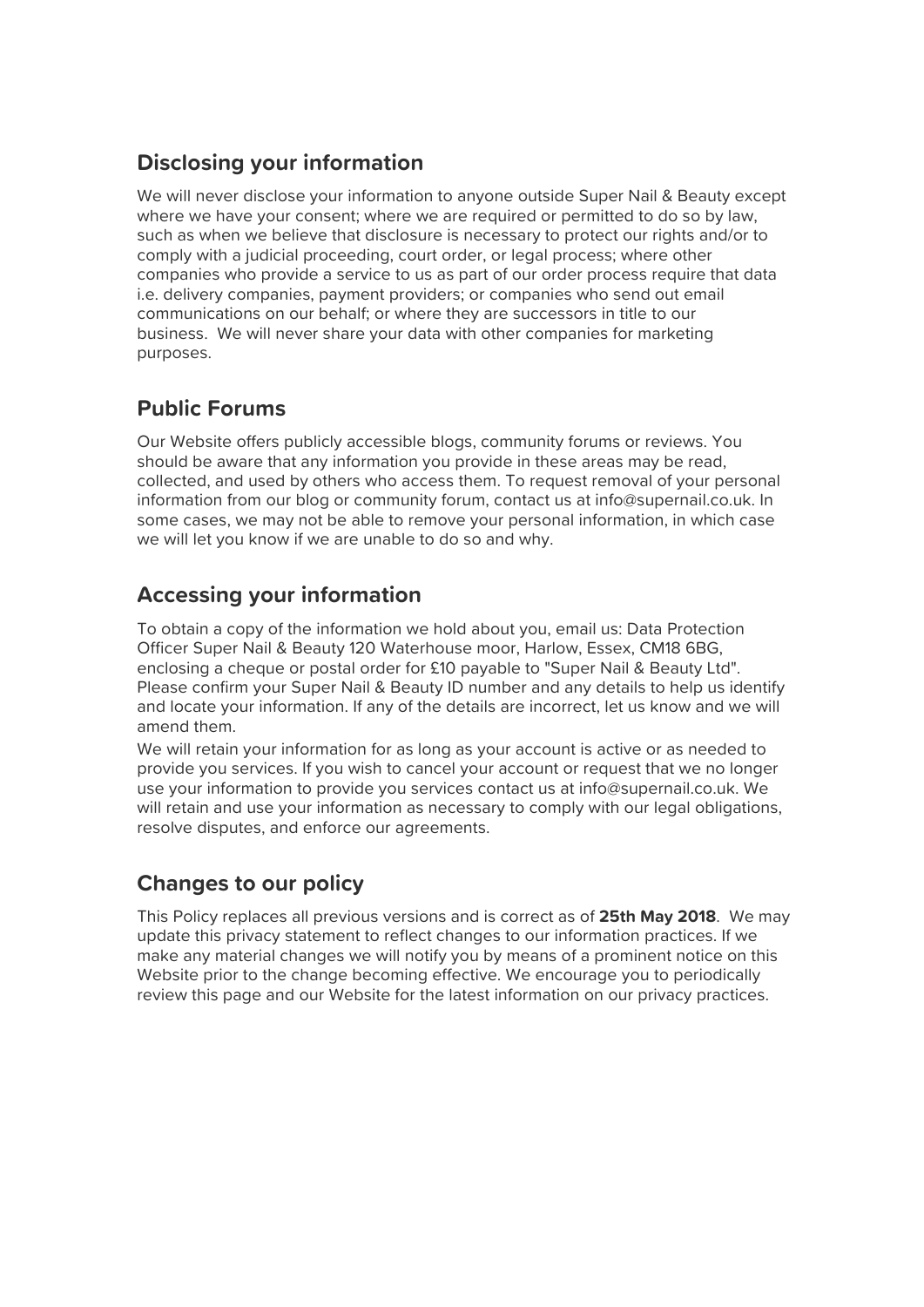# **Disclosing your information**

We will never disclose your information to anyone outside Super Nail & Beauty except where we have your consent; where we are required or permitted to do so by law, such as when we believe that disclosure is necessary to protect our rights and/or to comply with a judicial proceeding, court order, or legal process; where other companies who provide a service to us as part of our order process require that data i.e. delivery companies, payment providers; or companies who send out email communications on our behalf; or where they are successors in title to our business. We will never share your data with other companies for marketing purposes.

### **Public Forums**

Our Website offers publicly accessible blogs, community forums or reviews. You should be aware that any information you provide in these areas may be read, collected, and used by others who access them. To request removal of your personal information from our blog or community forum, contact us at info@supernail.co.uk. In some cases, we may not be able to remove your personal information, in which case we will let you know if we are unable to do so and why.

### **Accessing your information**

To obtain a copy of the information we hold about you, email us: Data Protection Officer Super Nail & Beauty 120 Waterhouse moor, Harlow, Essex, CM18 6BG, enclosing a cheque or postal order for £10 payable to "Super Nail & Beauty Ltd". Please confirm your Super Nail & Beauty ID number and any details to help us identify and locate your information. If any of the details are incorrect, let us know and we will amend them.

We will retain your information for as long as your account is active or as needed to provide you services. If you wish to cancel your account or request that we no longer use your information to provide you services contact us at info@supernail.co.uk. We will retain and use your information as necessary to comply with our legal obligations, resolve disputes, and enforce our agreements.

### **Changes to our policy**

This Policy replaces all previous versions and is correct as of **25th May 2018**. We may update this privacy statement to reflect changes to our information practices. If we make any material changes we will notify you by means of a prominent notice on this Website prior to the change becoming effective. We encourage you to periodically review this page and our Website for the latest information on our privacy practices.